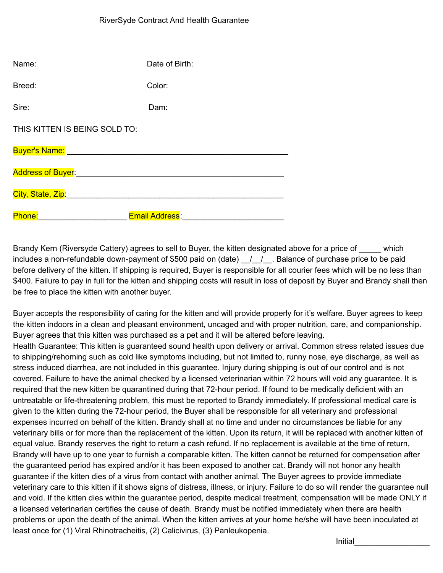| Name:                                                                                                                                                                                                                               | Date of Birth:        |
|-------------------------------------------------------------------------------------------------------------------------------------------------------------------------------------------------------------------------------------|-----------------------|
| Breed:                                                                                                                                                                                                                              | Color:                |
| Sire:                                                                                                                                                                                                                               | Dam:                  |
| THIS KITTEN IS BEING SOLD TO:                                                                                                                                                                                                       |                       |
| Buyer's Name: Name: Name and Name and Name and Name and Name and Name and Name and Name and Name and Name and                                                                                                                       |                       |
| <b>Address of Buyer:</b> And the state of the state of the state of the state of the state of the state of the state of the state of the state of the state of the state of the state of the state of the state of the state of the |                       |
| City, State, Zip: William City, State, 2014                                                                                                                                                                                         |                       |
| Phone:                                                                                                                                                                                                                              | <b>Email Address:</b> |

Brandy Kern (Riversyde Cattery) agrees to sell to Buyer, the kitten designated above for a price of \_\_\_\_\_ which includes a non-refundable down-payment of \$500 paid on (date)  $\frac{1}{2}$ . Balance of purchase price to be paid before delivery of the kitten. If shipping is required, Buyer is responsible for all courier fees which will be no less than \$400. Failure to pay in full for the kitten and shipping costs will result in loss of deposit by Buyer and Brandy shall then be free to place the kitten with another buyer.

Buyer accepts the responsibility of caring for the kitten and will provide properly for it's welfare. Buyer agrees to keep the kitten indoors in a clean and pleasant environment, uncaged and with proper nutrition, care, and companionship. Buyer agrees that this kitten was purchased as a pet and it will be altered before leaving.

Health Guarantee: This kitten is guaranteed sound health upon delivery or arrival. Common stress related issues due to shipping/rehoming such as cold like symptoms including, but not limited to, runny nose, eye discharge, as well as stress induced diarrhea, are not included in this guarantee. Injury during shipping is out of our control and is not covered. Failure to have the animal checked by a licensed veterinarian within 72 hours will void any guarantee. It is required that the new kitten be quarantined during that 72-hour period. If found to be medically deficient with an untreatable or life-threatening problem, this must be reported to Brandy immediately. If professional medical care is given to the kitten during the 72-hour period, the Buyer shall be responsible for all veterinary and professional expenses incurred on behalf of the kitten. Brandy shall at no time and under no circumstances be liable for any veterinary bills or for more than the replacement of the kitten. Upon its return, it will be replaced with another kitten of equal value. Brandy reserves the right to return a cash refund. If no replacement is available at the time of return, Brandy will have up to one year to furnish a comparable kitten. The kitten cannot be returned for compensation after the guaranteed period has expired and/or it has been exposed to another cat. Brandy will not honor any health guarantee if the kitten dies of a virus from contact with another animal. The Buyer agrees to provide immediate veterinary care to this kitten if it shows signs of distress, illness, or injury. Failure to do so will render the guarantee null and void. If the kitten dies within the guarantee period, despite medical treatment, compensation will be made ONLY if a licensed veterinarian certifies the cause of death. Brandy must be notified immediately when there are health problems or upon the death of the animal. When the kitten arrives at your home he/she will have been inoculated at least once for (1) Viral Rhinotracheitis, (2) Calicivirus, (3) Panleukopenia.

Initial\_\_\_\_\_\_\_\_\_\_\_\_\_\_\_\_\_